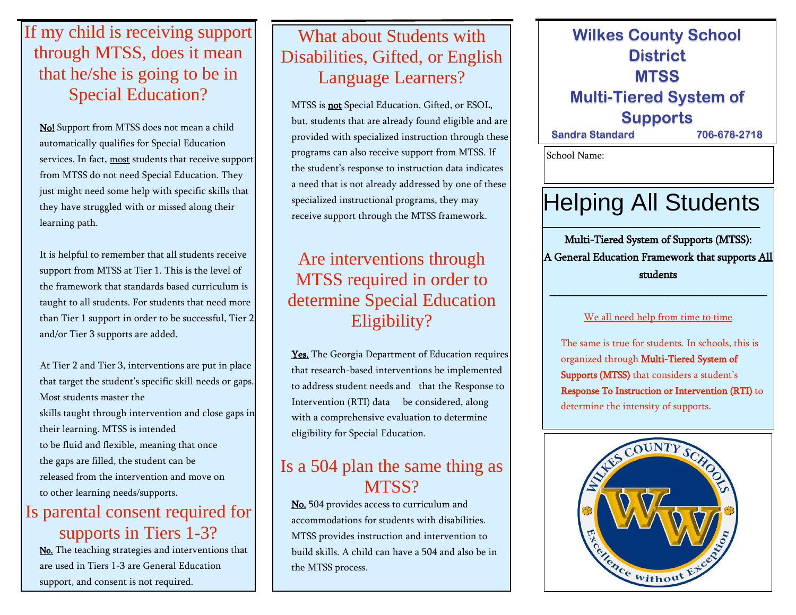## If my child is receiving support through MTSS, does it mean that he/she is going to be in Special Education?

No! Support from MTSS does not mean a child automatically qualifies for Special Education services. In fact, most students that receive support from MTSS do not need Special Education. They just might need some help with specific skills that they have struggled with or missed along their learning path.

It is helpful to remember that all students receive support from MTSS at Tier 1. This is the level of the framework that standards based curriculum is taught to all students. For students that need more than Tier 1 support in order to be successful, Tier 2 and/or Tier 3 supports are added.

At Tier 2 and Tier 3, interventions are put in place that target the student's specific skill needs or gaps. Most students master the skills taught through intervention and close gaps in their learning. MTSS is intended to be fluid and flexible, meaning that once the gaps are filled, the student can be released from the intervention and move on to other learning needs/supports.

### Is parental consent required for supports in Tiers 1-3?

No. The teaching strategies and interventions that are used in Tiers 1-3 are General Education support, and consent is not required.

## What about Students with Disabilities, Gifted, or English Language Learners?

MTSS is **not** Special Education, Gifted, or ESOL, but, students that are already found eligible and are provided with specialized instruction through these programs can also receive support from MTSS. If the student's response to instruction data indicates a need that is not already addressed by one of these specialized instructional programs, they may receive support through the MTSS framework.

## Are interventions through MTSS required in order to determine Special Education Eligibility?

Yes. The Georgia Department of Education requires that research-based interventions be implemented to address student needs and that the Response to Intervention (RTI) data be considered, along with a comprehensive evaluation to determine eligibility for Special Education.

### Is a 504 plan the same thing as MTSS?

No. 504 provides access to curriculum and accommodations for students with disabilities. MTSS provides instruction and intervention to build skills. A child can have a 504 and also be in the MTSS process.

### **Wilkes County School District MTSS Multi-Tiered System of Supports Sandra Standard 706-678-2718**

School Name:

# Helping All Students

\_\_\_\_\_\_\_\_\_\_\_\_\_\_\_\_\_\_\_\_\_\_\_\_\_\_\_\_\_\_\_\_\_\_\_\_\_\_\_\_\_\_\_\_

Multi-Tiered System of Supports (MTSS): A General Education Framework that supports All students

#### We all need help from time to time

\_\_\_\_\_\_\_\_\_\_\_\_\_\_\_\_\_\_\_\_\_\_\_\_\_\_\_\_\_\_\_\_\_\_\_\_\_\_\_\_\_\_\_\_

The same is true for students. In schools, this is organized through Multi-Tiered System of Supports (MTSS) that considers a student's Response To Instruction or Intervention (RTI) to determine the intensity of supports.